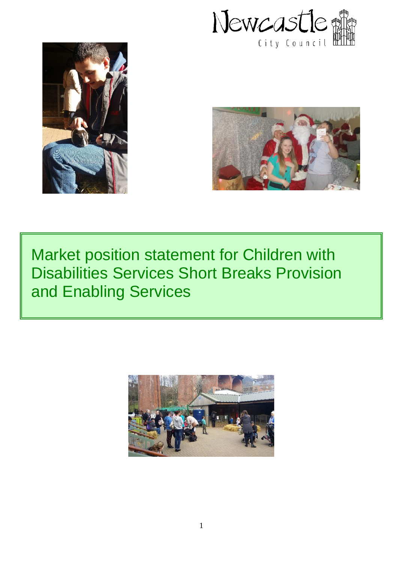





# Market position statement for Children with Disabilities Services Short Breaks Provision and Enabling Services

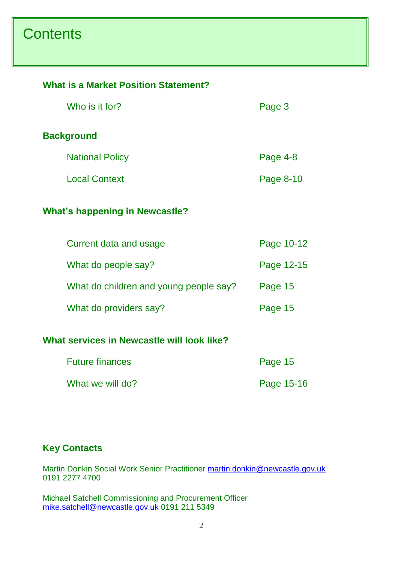# **Contents**

#### **What is a Market Position Statement?**

| Who is it for?                             | Page 3     |  |  |
|--------------------------------------------|------------|--|--|
| <b>Background</b>                          |            |  |  |
| <b>National Policy</b>                     | Page 4-8   |  |  |
| <b>Local Context</b>                       | Page 8-10  |  |  |
| <b>What's happening in Newcastle?</b>      |            |  |  |
| Current data and usage                     | Page 10-12 |  |  |
| What do people say?                        | Page 12-15 |  |  |
| What do children and young people say?     | Page 15    |  |  |
| What do providers say?                     | Page 15    |  |  |
| What services in Newcastle will look like? |            |  |  |

| <b>Future finances</b> | Page 15    |  |
|------------------------|------------|--|
| What we will do?       | Page 15-16 |  |

### **Key Contacts**

Martin Donkin Social Work Senior Practitioner [martin.donkin@newcastle.gov.uk](mailto:martin.donkin@newcastle.gov.uk) 0191 2277 4700

Michael Satchell Commissioning and Procurement Officer [mike.satchell@newcastle.gov.uk](mailto:mike.satchell@newcastle.gov.uk) 0191 211 5349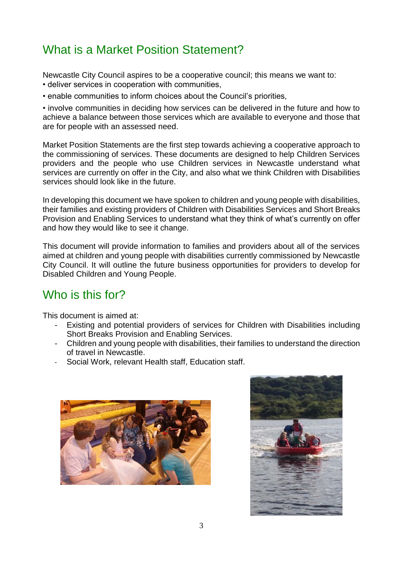### What is a Market Position Statement?

Newcastle City Council aspires to be a cooperative council; this means we want to:

- deliver services in cooperation with communities,
- enable communities to inform choices about the Council's priorities,

• involve communities in deciding how services can be delivered in the future and how to achieve a balance between those services which are available to everyone and those that are for people with an assessed need.

Market Position Statements are the first step towards achieving a cooperative approach to the commissioning of services. These documents are designed to help Children Services providers and the people who use Children services in Newcastle understand what services are currently on offer in the City, and also what we think Children with Disabilities services should look like in the future.

In developing this document we have spoken to children and young people with disabilities, their families and existing providers of Children with Disabilities Services and Short Breaks Provision and Enabling Services to understand what they think of what's currently on offer and how they would like to see it change.

This document will provide information to families and providers about all of the services aimed at children and young people with disabilities currently commissioned by Newcastle City Council. It will outline the future business opportunities for providers to develop for Disabled Children and Young People.

### Who is this for?

This document is aimed at:

- Existing and potential providers of services for Children with Disabilities including Short Breaks Provision and Enabling Services.
- Children and young people with disabilities, their families to understand the direction of travel in Newcastle.
- Social Work, relevant Health staff, Education staff,



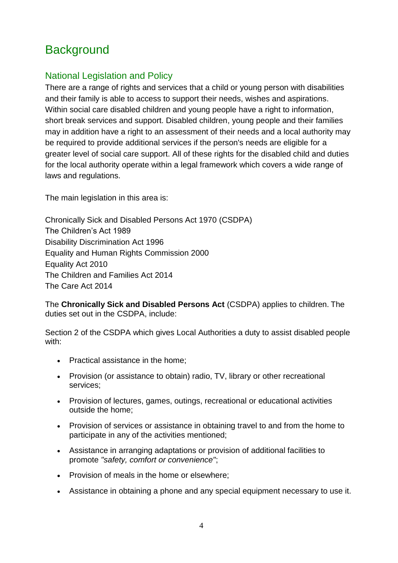## **Background**

### National Legislation and Policy

There are a range of rights and services that a child or young person with disabilities and their family is able to access to support their needs, wishes and aspirations. Within social care disabled children and young people have a right to information, short break services and support. Disabled children, young people and their families may in addition have a right to an assessment of their needs and a local authority may be required to provide additional services if the person's needs are eligible for a greater level of social care support. All of these rights for the disabled child and duties for the local authority operate within a legal framework which covers a wide range of laws and regulations.

The main legislation in this area is:

Chronically Sick and Disabled Persons Act 1970 (CSDPA) The Children's Act 1989 Disability Discrimination Act 1996 Equality and Human Rights Commission 2000 Equality Act 2010 The Children and Families Act 2014 The Care Act 2014

The **Chronically Sick and Disabled Persons Act** (CSDPA) applies to children. The duties set out in the CSDPA, include:

Section 2 of the CSDPA which gives Local Authorities a duty to assist disabled people with:

- Practical assistance in the home;
- Provision (or assistance to obtain) radio, TV, library or other recreational services;
- Provision of lectures, games, outings, recreational or educational activities outside the home;
- Provision of services or assistance in obtaining travel to and from the home to participate in any of the activities mentioned;
- Assistance in arranging adaptations or provision of additional facilities to promote *"safety, comfort or convenience"*;
- Provision of meals in the home or elsewhere;
- Assistance in obtaining a phone and any special equipment necessary to use it.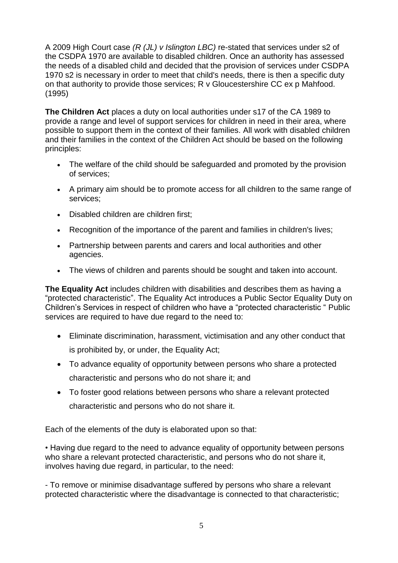A 2009 High Court case *(R (JL) v Islington LBC)* re-stated that services under s2 of the CSDPA 1970 are available to disabled children. Once an authority has assessed the needs of a disabled child and decided that the provision of services under CSDPA 1970 s2 is necessary in order to meet that child's needs, there is then a specific duty on that authority to provide those services; R v Gloucestershire CC ex p Mahfood. (1995)

**The Children Act** places a duty on local authorities under s17 of the CA 1989 to provide a range and level of support services for children in need in their area, where possible to support them in the context of their families. All work with disabled children and their families in the context of the Children Act should be based on the following principles:

- The welfare of the child should be safeguarded and promoted by the provision of services;
- A primary aim should be to promote access for all children to the same range of services;
- Disabled children are children first;
- Recognition of the importance of the parent and families in children's lives;
- Partnership between parents and carers and local authorities and other agencies.
- The views of children and parents should be sought and taken into account.

**The Equality Act** includes children with disabilities and describes them as having a "protected characteristic". The Equality Act introduces a Public Sector Equality Duty on Children's Services in respect of children who have a "protected characteristic " Public services are required to have due regard to the need to:

- Eliminate discrimination, harassment, victimisation and any other conduct that is prohibited by, or under, the Equality Act;
- To advance equality of opportunity between persons who share a protected characteristic and persons who do not share it; and
- To foster good relations between persons who share a relevant protected characteristic and persons who do not share it.

Each of the elements of the duty is elaborated upon so that:

• Having due regard to the need to advance equality of opportunity between persons who share a relevant protected characteristic, and persons who do not share it, involves having due regard, in particular, to the need:

- To remove or minimise disadvantage suffered by persons who share a relevant protected characteristic where the disadvantage is connected to that characteristic;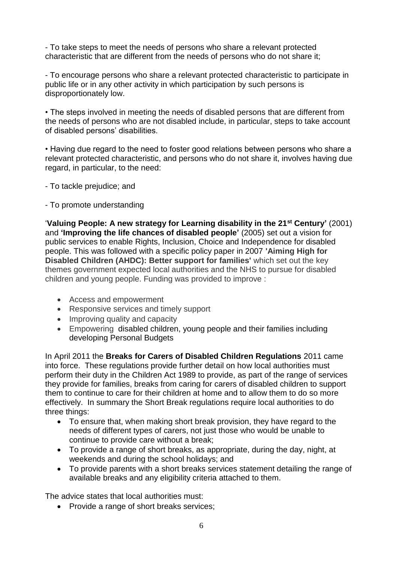- To take steps to meet the needs of persons who share a relevant protected characteristic that are different from the needs of persons who do not share it;

- To encourage persons who share a relevant protected characteristic to participate in public life or in any other activity in which participation by such persons is disproportionately low.

• The steps involved in meeting the needs of disabled persons that are different from the needs of persons who are not disabled include, in particular, steps to take account of disabled persons' disabilities.

• Having due regard to the need to foster good relations between persons who share a relevant protected characteristic, and persons who do not share it, involves having due regard, in particular, to the need:

- To tackle prejudice; and
- To promote understanding

'**Valuing People: A new strategy for Learning disability in the 21st Century'** (2001) and **'Improving the life chances of disabled people'** (2005) set out a vision for public services to enable Rights, Inclusion, Choice and Independence for disabled people. This was followed with a specific policy paper in 2007 **'Aiming High for Disabled Children (AHDC): Better support for families'** which set out the key themes government expected local authorities and the NHS to pursue for disabled children and young people. Funding was provided to improve :

- Access and empowerment
- Responsive services and timely support
- Improving quality and capacity
- Empowering disabled children, young people and their families including developing Personal Budgets

In April 2011 the **Breaks for Carers of Disabled Children Regulations** 2011 came into force. These regulations provide further detail on how local authorities must perform their duty in the Children Act 1989 to provide, as part of the range of services they provide for families, breaks from caring for carers of disabled children to support them to continue to care for their children at home and to allow them to do so more effectively. In summary the Short Break regulations require local authorities to do three things:

- To ensure that, when making short break provision, they have regard to the needs of different types of carers, not just those who would be unable to continue to provide care without a break;
- To provide a range of short breaks, as appropriate, during the day, night, at weekends and during the school holidays; and
- To provide parents with a short breaks services statement detailing the range of available breaks and any eligibility criteria attached to them.

The advice states that local authorities must:

• Provide a range of short breaks services;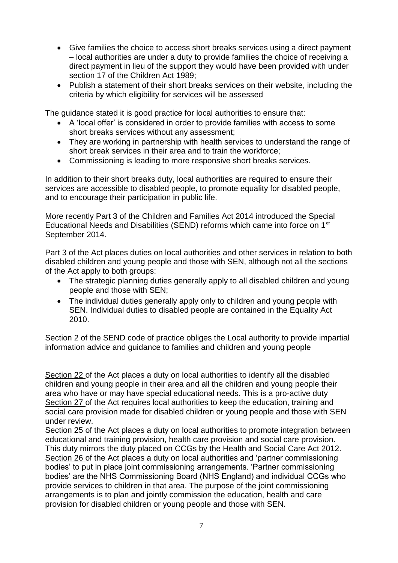- Give families the choice to access short breaks services using a direct payment – local authorities are under a duty to provide families the choice of receiving a direct payment in lieu of the support they would have been provided with under section 17 of the Children Act 1989;
- Publish a statement of their short breaks services on their website, including the criteria by which eligibility for services will be assessed

The guidance stated it is good practice for local authorities to ensure that:

- A 'local offer' is considered in order to provide families with access to some short breaks services without any assessment;
- They are working in partnership with health services to understand the range of short break services in their area and to train the workforce;
- Commissioning is leading to more responsive short breaks services.

In addition to their short breaks duty, local authorities are required to ensure their services are accessible to disabled people, to promote equality for disabled people, and to encourage their participation in public life.

More recently Part 3 of the Children and Families Act 2014 introduced the Special Educational Needs and Disabilities (SEND) reforms which came into force on 1st September 2014.

Part 3 of the Act places duties on local authorities and other services in relation to both disabled children and young people and those with SEN, although not all the sections of the Act apply to both groups:

- The strategic planning duties generally apply to all disabled children and young people and those with SEN;
- The individual duties generally apply only to children and young people with SEN. Individual duties to disabled people are contained in the Equality Act 2010.

Section 2 of the SEND code of practice obliges the Local authority to provide impartial information advice and guidance to families and children and young people

Section 22 of the Act places a duty on local authorities to identify all the disabled children and young people in their area and all the children and young people their area who have or may have special educational needs. This is a pro-active duty Section 27 of the Act requires local authorities to keep the education, training and social care provision made for disabled children or young people and those with SEN under review.

Section 25 of the Act places a duty on local authorities to promote integration between educational and training provision, health care provision and social care provision. This duty mirrors the duty placed on CCGs by the Health and Social Care Act 2012. Section 26 of the Act places a duty on local authorities and 'partner commissioning bodies' to put in place joint commissioning arrangements. 'Partner commissioning bodies' are the NHS Commissioning Board (NHS England) and individual CCGs who provide services to children in that area. The purpose of the joint commissioning arrangements is to plan and jointly commission the education, health and care provision for disabled children or young people and those with SEN.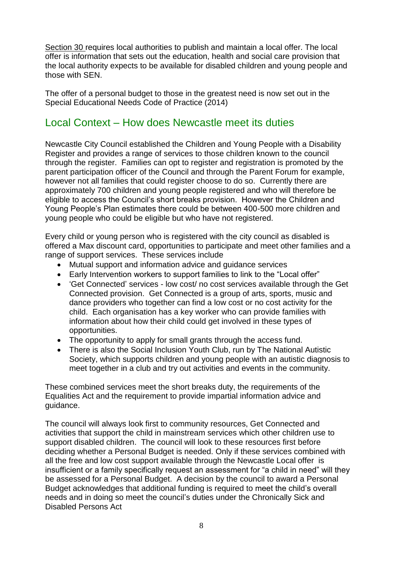Section 30 requires local authorities to publish and maintain a local offer. The local offer is information that sets out the education, health and social care provision that the local authority expects to be available for disabled children and young people and those with SEN.

The offer of a personal budget to those in the greatest need is now set out in the Special Educational Needs Code of Practice (2014)

### Local Context – How does Newcastle meet its duties

Newcastle City Council established the Children and Young People with a Disability Register and provides a range of services to those children known to the council through the register. Families can opt to register and registration is promoted by the parent participation officer of the Council and through the Parent Forum for example, however not all families that could register choose to do so. Currently there are approximately 700 children and young people registered and who will therefore be eligible to access the Council's short breaks provision. However the Children and Young People's Plan estimates there could be between 400-500 more children and young people who could be eligible but who have not registered.

Every child or young person who is registered with the city council as disabled is offered a Max discount card, opportunities to participate and meet other families and a range of support services. These services include

- Mutual support and information advice and guidance services
- Early Intervention workers to support families to link to the "Local offer"
- 'Get Connected' services low cost/ no cost services available through the Get Connected provision. Get Connected is a group of arts, sports, music and dance providers who together can find a low cost or no cost activity for the child. Each organisation has a key worker who can provide families with information about how their child could get involved in these types of opportunities.
- The opportunity to apply for small grants through the access fund.
- There is also the Social Inclusion Youth Club, run by The National Autistic Society, which supports children and young people with an autistic diagnosis to meet together in a club and try out activities and events in the community.

These combined services meet the short breaks duty, the requirements of the Equalities Act and the requirement to provide impartial information advice and guidance.

The council will always look first to community resources, Get Connected and activities that support the child in mainstream services which other children use to support disabled children. The council will look to these resources first before deciding whether a Personal Budget is needed. Only if these services combined with all the free and low cost support available through the Newcastle Local offer is insufficient or a family specifically request an assessment for "a child in need" will they be assessed for a Personal Budget. A decision by the council to award a Personal Budget acknowledges that additional funding is required to meet the child's overall needs and in doing so meet the council's duties under the Chronically Sick and Disabled Persons Act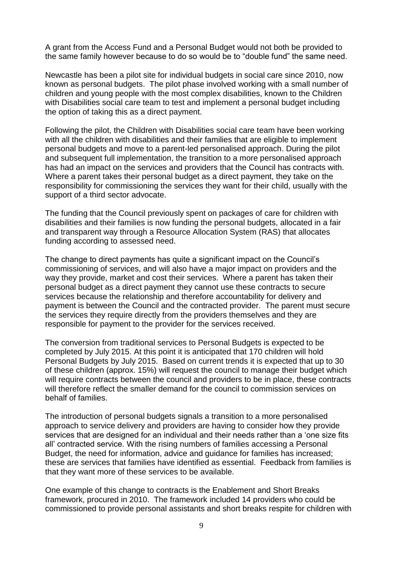A grant from the Access Fund and a Personal Budget would not both be provided to the same family however because to do so would be to "double fund" the same need.

Newcastle has been a pilot site for individual budgets in social care since 2010, now known as personal budgets. The pilot phase involved working with a small number of children and young people with the most complex disabilities, known to the Children with Disabilities social care team to test and implement a personal budget including the option of taking this as a direct payment.

Following the pilot, the Children with Disabilities social care team have been working with all the children with disabilities and their families that are eligible to implement personal budgets and move to a parent-led personalised approach. During the pilot and subsequent full implementation, the transition to a more personalised approach has had an impact on the services and providers that the Council has contracts with. Where a parent takes their personal budget as a direct payment, they take on the responsibility for commissioning the services they want for their child, usually with the support of a third sector advocate.

The funding that the Council previously spent on packages of care for children with disabilities and their families is now funding the personal budgets, allocated in a fair and transparent way through a Resource Allocation System (RAS) that allocates funding according to assessed need.

The change to direct payments has quite a significant impact on the Council's commissioning of services, and will also have a major impact on providers and the way they provide, market and cost their services. Where a parent has taken their personal budget as a direct payment they cannot use these contracts to secure services because the relationship and therefore accountability for delivery and payment is between the Council and the contracted provider. The parent must secure the services they require directly from the providers themselves and they are responsible for payment to the provider for the services received.

The conversion from traditional services to Personal Budgets is expected to be completed by July 2015. At this point it is anticipated that 170 children will hold Personal Budgets by July 2015. Based on current trends it is expected that up to 30 of these children (approx. 15%) will request the council to manage their budget which will require contracts between the council and providers to be in place, these contracts will therefore reflect the smaller demand for the council to commission services on behalf of families.

The introduction of personal budgets signals a transition to a more personalised approach to service delivery and providers are having to consider how they provide services that are designed for an individual and their needs rather than a 'one size fits all' contracted service. With the rising numbers of families accessing a Personal Budget, the need for information, advice and guidance for families has increased; these are services that families have identified as essential. Feedback from families is that they want more of these services to be available.

One example of this change to contracts is the Enablement and Short Breaks framework, procured in 2010. The framework included 14 providers who could be commissioned to provide personal assistants and short breaks respite for children with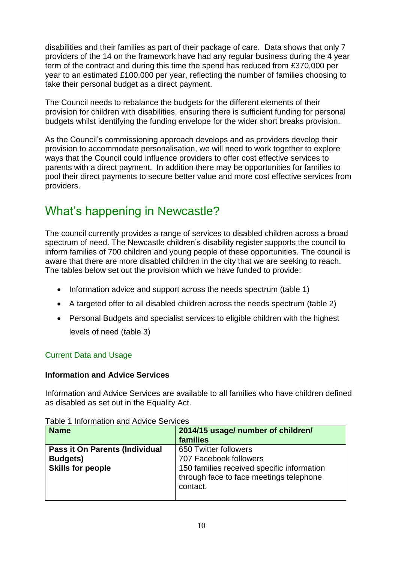disabilities and their families as part of their package of care. Data shows that only 7 providers of the 14 on the framework have had any regular business during the 4 year term of the contract and during this time the spend has reduced from £370,000 per year to an estimated £100,000 per year, reflecting the number of families choosing to take their personal budget as a direct payment.

The Council needs to rebalance the budgets for the different elements of their provision for children with disabilities, ensuring there is sufficient funding for personal budgets whilst identifying the funding envelope for the wider short breaks provision.

As the Council's commissioning approach develops and as providers develop their provision to accommodate personalisation, we will need to work together to explore ways that the Council could influence providers to offer cost effective services to parents with a direct payment. In addition there may be opportunities for families to pool their direct payments to secure better value and more cost effective services from providers.

### What's happening in Newcastle?

The council currently provides a range of services to disabled children across a broad spectrum of need. The Newcastle children's disability register supports the council to inform families of 700 children and young people of these opportunities. The council is aware that there are more disabled children in the city that we are seeking to reach. The tables below set out the provision which we have funded to provide:

- Information advice and support across the needs spectrum (table 1)
- A targeted offer to all disabled children across the needs spectrum (table 2)
- Personal Budgets and specialist services to eligible children with the highest levels of need (table 3)

#### Current Data and Usage

#### **Information and Advice Services**

Information and Advice Services are available to all families who have children defined as disabled as set out in the Equality Act.

| <b>Name</b>                                                                   | 2014/15 usage/ number of children/<br>families                                                                                                       |
|-------------------------------------------------------------------------------|------------------------------------------------------------------------------------------------------------------------------------------------------|
| Pass it On Parents (Individual<br><b>Budgets)</b><br><b>Skills for people</b> | 650 Twitter followers<br>707 Facebook followers<br>150 families received specific information<br>through face to face meetings telephone<br>contact. |
|                                                                               |                                                                                                                                                      |

Table 1 Information and Advice Services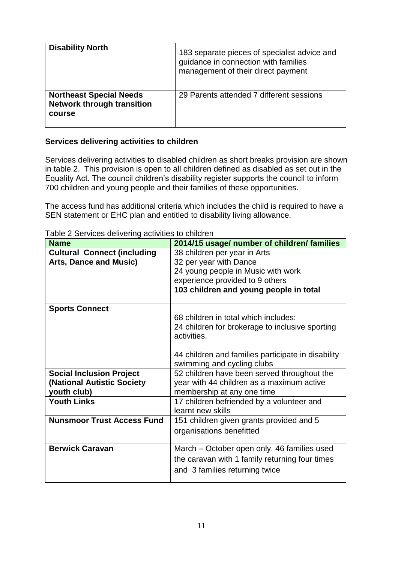| <b>Disability North</b>                                                       | 183 separate pieces of specialist advice and<br>guidance in connection with families<br>management of their direct payment |
|-------------------------------------------------------------------------------|----------------------------------------------------------------------------------------------------------------------------|
| <b>Northeast Special Needs</b><br><b>Network through transition</b><br>course | 29 Parents attended 7 different sessions                                                                                   |

#### **Services delivering activities to children**

Services delivering activities to disabled children as short breaks provision are shown in table 2. This provision is open to all children defined as disabled as set out in the Equality Act. The council children's disability register supports the council to inform 700 children and young people and their families of these opportunities.

The access fund has additional criteria which includes the child is required to have a SEN statement or EHC plan and entitled to disability living allowance.

| rapid 2 Ochnoco adintonny adintico to diliardii<br><b>Name</b> | 2014/15 usage/ number of children/ families        |
|----------------------------------------------------------------|----------------------------------------------------|
| <b>Cultural Connect (including</b>                             | 38 children per year in Arts                       |
| <b>Arts, Dance and Music)</b>                                  | 32 per year with Dance                             |
|                                                                | 24 young people in Music with work                 |
|                                                                | experience provided to 9 others                    |
|                                                                | 103 children and young people in total             |
|                                                                |                                                    |
| <b>Sports Connect</b>                                          |                                                    |
|                                                                | 68 children in total which includes:               |
|                                                                | 24 children for brokerage to inclusive sporting    |
|                                                                | activities.                                        |
|                                                                | 44 children and families participate in disability |
|                                                                | swimming and cycling clubs                         |
| <b>Social Inclusion Project</b>                                | 52 children have been served throughout the        |
| (National Autistic Society                                     | year with 44 children as a maximum active          |
| youth club)                                                    | membership at any one time                         |
| <b>Youth Links</b>                                             | 17 children befriended by a volunteer and          |
|                                                                | learnt new skills                                  |
| <b>Nunsmoor Trust Access Fund</b>                              | 151 children given grants provided and 5           |
|                                                                | organisations benefitted                           |
|                                                                |                                                    |
| <b>Berwick Caravan</b>                                         | March – October open only. 46 families used        |
|                                                                | the caravan with 1 family returning four times     |
|                                                                | and 3 families returning twice                     |
|                                                                |                                                    |

Table 2 Services delivering activities to children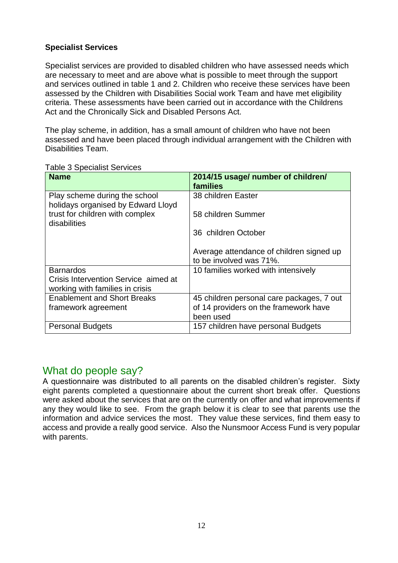#### **Specialist Services**

Specialist services are provided to disabled children who have assessed needs which are necessary to meet and are above what is possible to meet through the support and services outlined in table 1 and 2. Children who receive these services have been assessed by the Children with Disabilities Social work Team and have met eligibility criteria. These assessments have been carried out in accordance with the Childrens Act and the Chronically Sick and Disabled Persons Act.

The play scheme, in addition, has a small amount of children who have not been assessed and have been placed through individual arrangement with the Children with Disabilities Team.

| <b>Name</b>                                                         | 2014/15 usage/ number of children/<br>families                      |
|---------------------------------------------------------------------|---------------------------------------------------------------------|
| Play scheme during the school<br>holidays organised by Edward Lloyd | 38 children Easter                                                  |
| trust for children with complex<br>disabilities                     | 58 children Summer                                                  |
|                                                                     | 36 children October                                                 |
|                                                                     | Average attendance of children signed up<br>to be involved was 71%. |
| <b>Barnardos</b>                                                    | 10 families worked with intensively                                 |
| Crisis Intervention Service aimed at                                |                                                                     |
| working with families in crisis                                     |                                                                     |
| <b>Enablement and Short Breaks</b>                                  | 45 children personal care packages, 7 out                           |
| framework agreement                                                 | of 14 providers on the framework have<br>been used                  |
| <b>Personal Budgets</b>                                             | 157 children have personal Budgets                                  |

#### Table 3 Specialist Services

#### What do people say?

A questionnaire was distributed to all parents on the disabled children's register. Sixty eight parents completed a questionnaire about the current short break offer. Questions were asked about the services that are on the currently on offer and what improvements if any they would like to see. From the graph below it is clear to see that parents use the information and advice services the most. They value these services, find them easy to access and provide a really good service. Also the Nunsmoor Access Fund is very popular with parents.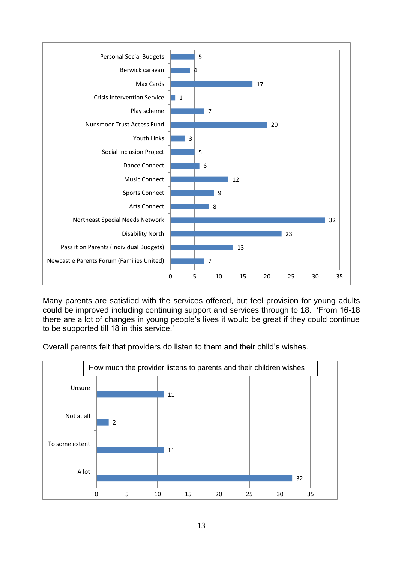

Many parents are satisfied with the services offered, but feel provision for young adults could be improved including continuing support and services through to 18. 'From 16-18 there are a lot of changes in young people's lives it would be great if they could continue to be supported till 18 in this service.'

Overall parents felt that providers do listen to them and their child's wishes.

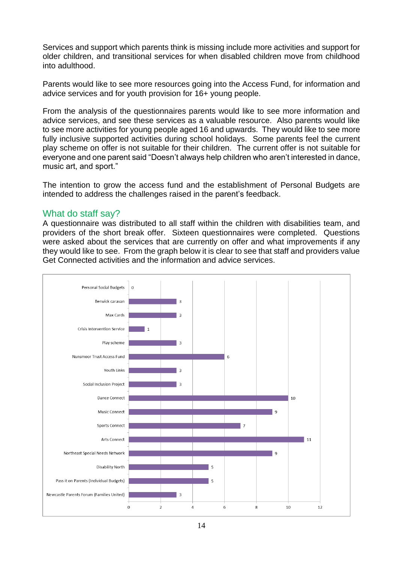Services and support which parents think is missing include more activities and support for older children, and transitional services for when disabled children move from childhood into adulthood.

Parents would like to see more resources going into the Access Fund, for information and advice services and for youth provision for 16+ young people.

From the analysis of the questionnaires parents would like to see more information and advice services, and see these services as a valuable resource. Also parents would like to see more activities for young people aged 16 and upwards. They would like to see more fully inclusive supported activities during school holidays. Some parents feel the current play scheme on offer is not suitable for their children. The current offer is not suitable for everyone and one parent said "Doesn't always help children who aren't interested in dance, music art, and sport."

The intention to grow the access fund and the establishment of Personal Budgets are intended to address the challenges raised in the parent's feedback.

#### What do staff say?

A questionnaire was distributed to all staff within the children with disabilities team, and providers of the short break offer. Sixteen questionnaires were completed. Questions were asked about the services that are currently on offer and what improvements if any they would like to see. From the graph below it is clear to see that staff and providers value Get Connected activities and the information and advice services.

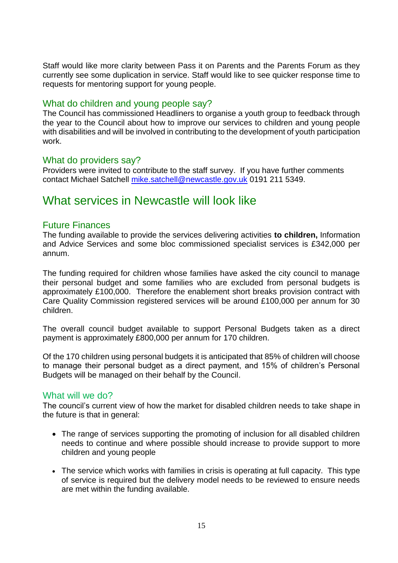Staff would like more clarity between Pass it on Parents and the Parents Forum as they currently see some duplication in service. Staff would like to see quicker response time to requests for mentoring support for young people.

#### What do children and young people say?

The Council has commissioned Headliners to organise a youth group to feedback through the year to the Council about how to improve our services to children and young people with disabilities and will be involved in contributing to the development of youth participation work.

#### What do providers say?

Providers were invited to contribute to the staff survey. If you have further comments contact Michael Satchell [mike.satchell@newcastle.gov.uk](mailto:mike.satchell@newcastle.gov.uk) 0191 211 5349.

### What services in Newcastle will look like

#### Future Finances

The funding available to provide the services delivering activities **to children,** Information and Advice Services and some bloc commissioned specialist services is £342,000 per annum.

The funding required for children whose families have asked the city council to manage their personal budget and some families who are excluded from personal budgets is approximately £100,000. Therefore the enablement short breaks provision contract with Care Quality Commission registered services will be around £100,000 per annum for 30 children.

The overall council budget available to support Personal Budgets taken as a direct payment is approximately £800,000 per annum for 170 children.

Of the 170 children using personal budgets it is anticipated that 85% of children will choose to manage their personal budget as a direct payment, and 15% of children's Personal Budgets will be managed on their behalf by the Council.

#### What will we do?

The council's current view of how the market for disabled children needs to take shape in the future is that in general:

- The range of services supporting the promoting of inclusion for all disabled children needs to continue and where possible should increase to provide support to more children and young people
- The service which works with families in crisis is operating at full capacity. This type of service is required but the delivery model needs to be reviewed to ensure needs are met within the funding available.